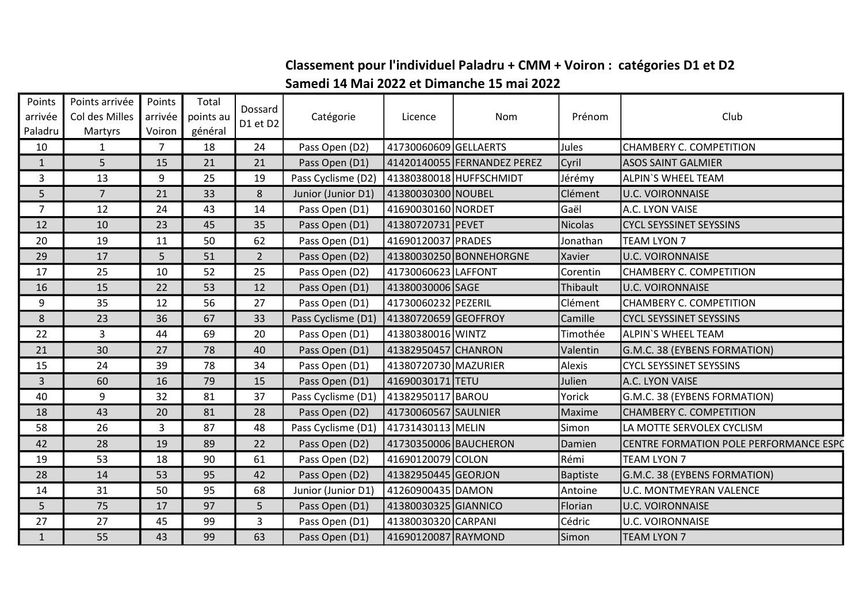## Classement pour l'individuel Paladru + CMM + Voiron : catégories D1 et D2

## Samedi 14 Mai 2022 et Dimanche 15 mai 2022

| Points<br>arrivée<br>Paladru | Points arrivée<br>Col des Milles<br>Martyrs | Points<br>arrivée<br>Voiron | Total<br>points au<br>général | Dossard<br>D1 et D2 | Catégorie          | Licence               | Nom                         | Prénom          | Club                                   |
|------------------------------|---------------------------------------------|-----------------------------|-------------------------------|---------------------|--------------------|-----------------------|-----------------------------|-----------------|----------------------------------------|
| 10                           | 1                                           | 7                           | 18                            | 24                  | Pass Open (D2)     | 41730060609 GELLAERTS |                             | Jules           | <b>CHAMBERY C. COMPETITION</b>         |
| $\mathbf{1}$                 | 5                                           | 15                          | 21                            | 21                  | Pass Open (D1)     |                       | 41420140055 FERNANDEZ PEREZ | Cyril           | <b>ASOS SAINT GALMIER</b>              |
| 3                            | 13                                          | 9                           | 25                            | 19                  | Pass Cyclisme (D2) |                       | 41380380018 HUFFSCHMIDT     | Jérémy          | <b>ALPIN'S WHEEL TEAM</b>              |
| 5                            | $\overline{7}$                              | 21                          | 33                            | 8                   | Junior (Junior D1) | 41380030300 NOUBEL    |                             | Clément         | <b>U.C. VOIRONNAISE</b>                |
| $\overline{7}$               | 12                                          | 24                          | 43                            | 14                  | Pass Open (D1)     | 41690030160 NORDET    |                             | Gaël            | A.C. LYON VAISE                        |
| 12                           | 10                                          | 23                          | 45                            | 35                  | Pass Open (D1)     | 41380720731 PEVET     |                             | Nicolas         | <b>CYCL SEYSSINET SEYSSINS</b>         |
| 20                           | 19                                          | 11                          | 50                            | 62                  | Pass Open (D1)     | 41690120037 PRADES    |                             | Jonathan        | <b>TEAM LYON 7</b>                     |
| 29                           | 17                                          | 5                           | 51                            | $\overline{2}$      | Pass Open (D2)     |                       | 41380030250 BONNEHORGNE     | Xavier          | <b>U.C. VOIRONNAISE</b>                |
| 17                           | 25                                          | 10                          | 52                            | 25                  | Pass Open (D2)     | 41730060623 LAFFONT   |                             | Corentin        | CHAMBERY C. COMPETITION                |
| 16                           | 15                                          | 22                          | 53                            | 12                  | Pass Open (D1)     | 41380030006 SAGE      |                             | Thibault        | <b>U.C. VOIRONNAISE</b>                |
| 9                            | 35                                          | 12                          | 56                            | 27                  | Pass Open (D1)     | 41730060232 PEZERIL   |                             | Clément         | <b>CHAMBERY C. COMPETITION</b>         |
| 8                            | 23                                          | 36                          | 67                            | 33                  | Pass Cyclisme (D1) | 41380720659 GEOFFROY  |                             | Camille         | <b>CYCL SEYSSINET SEYSSINS</b>         |
| 22                           | $\mathbf{3}$                                | 44                          | 69                            | 20                  | Pass Open (D1)     | 41380380016 WINTZ     |                             | Timothée        | <b>ALPIN'S WHEEL TEAM</b>              |
| 21                           | 30                                          | 27                          | 78                            | 40                  | Pass Open (D1)     | 41382950457 CHANRON   |                             | Valentin        | G.M.C. 38 (EYBENS FORMATION)           |
| 15                           | 24                                          | 39                          | 78                            | 34                  | Pass Open (D1)     | 41380720730 MAZURIER  |                             | Alexis          | <b>CYCL SEYSSINET SEYSSINS</b>         |
| $\mathbf{3}$                 | 60                                          | 16                          | 79                            | 15                  | Pass Open (D1)     | 41690030171 TETU      |                             | Julien          | A.C. LYON VAISE                        |
| 40                           | 9                                           | 32                          | 81                            | 37                  | Pass Cyclisme (D1) | 41382950117 BAROU     |                             | Yorick          | G.M.C. 38 (EYBENS FORMATION)           |
| 18                           | 43                                          | 20                          | 81                            | 28                  | Pass Open (D2)     | 41730060567 SAULNIER  |                             | Maxime          | CHAMBERY C. COMPETITION                |
| 58                           | 26                                          | 3                           | 87                            | 48                  | Pass Cyclisme (D1) | 41731430113 MELIN     |                             | Simon           | LA MOTTE SERVOLEX CYCLISM              |
| 42                           | 28                                          | 19                          | 89                            | 22                  | Pass Open (D2)     | 41730350006 BAUCHERON |                             | Damien          | CENTRE FORMATION POLE PERFORMANCE ESPC |
| 19                           | 53                                          | 18                          | 90                            | 61                  | Pass Open (D2)     | 41690120079 COLON     |                             | Rémi            | TEAM LYON 7                            |
| 28                           | 14                                          | 53                          | 95                            | 42                  | Pass Open (D2)     | 41382950445 GEORJON   |                             | <b>Baptiste</b> | G.M.C. 38 (EYBENS FORMATION)           |
| 14                           | 31                                          | 50                          | 95                            | 68                  | Junior (Junior D1) | 41260900435 DAMON     |                             | Antoine         | <b>U.C. MONTMEYRAN VALENCE</b>         |
| 5                            | 75                                          | 17                          | 97                            | 5                   | Pass Open (D1)     | 41380030325 GIANNICO  |                             | Florian         | <b>U.C. VOIRONNAISE</b>                |
| 27                           | 27                                          | 45                          | 99                            | 3                   | Pass Open (D1)     | 41380030320 CARPANI   |                             | Cédric          | <b>U.C. VOIRONNAISE</b>                |
| $\mathbf{1}$                 | 55                                          | 43                          | 99                            | 63                  | Pass Open (D1)     | 41690120087 RAYMOND   |                             | Simon           | <b>TEAM LYON 7</b>                     |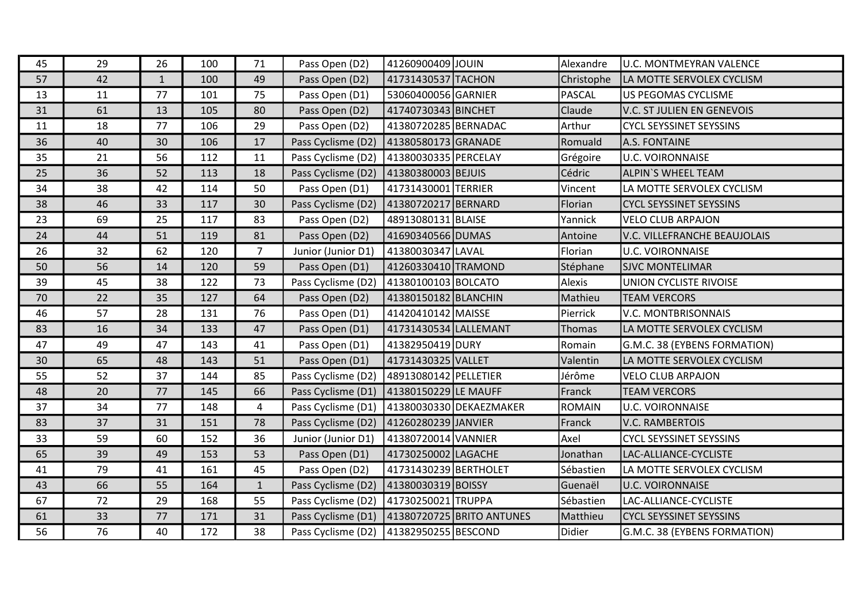| 45 | 29 | 26           | 100 | 71             | Pass Open (D2)     | 41260900409 JOUIN     |                           | Alexandre  | <b>U.C. MONTMEYRAN VALENCE</b> |
|----|----|--------------|-----|----------------|--------------------|-----------------------|---------------------------|------------|--------------------------------|
| 57 | 42 | $\mathbf{1}$ | 100 | 49             | Pass Open (D2)     | 41731430537 TACHON    |                           | Christophe | LA MOTTE SERVOLEX CYCLISM      |
| 13 | 11 | 77           | 101 | 75             | Pass Open (D1)     | 53060400056 GARNIER   |                           | PASCAL     | US PEGOMAS CYCLISME            |
| 31 | 61 | 13           | 105 | 80             | Pass Open (D2)     | 41740730343 BINCHET   |                           | Claude     | V.C. ST JULIEN EN GENEVOIS     |
| 11 | 18 | 77           | 106 | 29             | Pass Open (D2)     | 41380720285 BERNADAC  |                           | Arthur     | <b>CYCL SEYSSINET SEYSSINS</b> |
| 36 | 40 | 30           | 106 | 17             | Pass Cyclisme (D2) | 41380580173 GRANADE   |                           | Romuald    | A.S. FONTAINE                  |
| 35 | 21 | 56           | 112 | 11             | Pass Cyclisme (D2) | 41380030335 PERCELAY  |                           | Grégoire   | <b>U.C. VOIRONNAISE</b>        |
| 25 | 36 | 52           | 113 | 18             | Pass Cyclisme (D2) | 41380380003 BEJUIS    |                           | Cédric     | ALPIN'S WHEEL TEAM             |
| 34 | 38 | 42           | 114 | 50             | Pass Open (D1)     | 41731430001 TERRIER   |                           | Vincent    | LA MOTTE SERVOLEX CYCLISM      |
| 38 | 46 | 33           | 117 | 30             | Pass Cyclisme (D2) | 41380720217 BERNARD   |                           | Florian    | <b>CYCL SEYSSINET SEYSSINS</b> |
| 23 | 69 | 25           | 117 | 83             | Pass Open (D2)     | 48913080131 BLAISE    |                           | Yannick    | <b>VELO CLUB ARPAJON</b>       |
| 24 | 44 | 51           | 119 | 81             | Pass Open (D2)     | 41690340566 DUMAS     |                           | Antoine    | V.C. VILLEFRANCHE BEAUJOLAIS   |
| 26 | 32 | 62           | 120 | $\overline{7}$ | Junior (Junior D1) | 41380030347 LAVAL     |                           | Florian    | <b>U.C. VOIRONNAISE</b>        |
| 50 | 56 | 14           | 120 | 59             | Pass Open (D1)     | 41260330410 TRAMOND   |                           | Stéphane   | <b>SJVC MONTELIMAR</b>         |
| 39 | 45 | 38           | 122 | 73             | Pass Cyclisme (D2) | 41380100103 BOLCATO   |                           | Alexis     | UNION CYCLISTE RIVOISE         |
| 70 | 22 | 35           | 127 | 64             | Pass Open (D2)     | 41380150182 BLANCHIN  |                           | Mathieu    | <b>TEAM VERCORS</b>            |
| 46 | 57 | 28           | 131 | 76             | Pass Open (D1)     | 41420410142 MAISSE    |                           | Pierrick   | V.C. MONTBRISONNAIS            |
| 83 | 16 | 34           | 133 | 47             | Pass Open (D1)     | 41731430534 LALLEMANT |                           | Thomas     | LA MOTTE SERVOLEX CYCLISM      |
| 47 | 49 | 47           | 143 | 41             | Pass Open (D1)     | 41382950419 DURY      |                           | Romain     | G.M.C. 38 (EYBENS FORMATION)   |
| 30 | 65 | 48           | 143 | 51             | Pass Open (D1)     | 41731430325 VALLET    |                           | Valentin   | LA MOTTE SERVOLEX CYCLISM      |
| 55 | 52 | 37           | 144 | 85             | Pass Cyclisme (D2) | 48913080142 PELLETIER |                           | Jérôme     | <b>VELO CLUB ARPAJON</b>       |
| 48 | 20 | 77           | 145 | 66             | Pass Cyclisme (D1) | 41380150229 LE MAUFF  |                           | Franck     | <b>TEAM VERCORS</b>            |
| 37 | 34 | 77           | 148 | 4              | Pass Cyclisme (D1) |                       | 41380030330 DEKAEZMAKER   | ROMAIN     | <b>U.C. VOIRONNAISE</b>        |
| 83 | 37 | 31           | 151 | 78             | Pass Cyclisme (D2) | 41260280239 JANVIER   |                           | Franck     | V.C. RAMBERTOIS                |
| 33 | 59 | 60           | 152 | 36             | Junior (Junior D1) | 41380720014 VANNIER   |                           | Axel       | <b>CYCL SEYSSINET SEYSSINS</b> |
| 65 | 39 | 49           | 153 | 53             | Pass Open (D1)     | 41730250002 LAGACHE   |                           | Jonathan   | LAC-ALLIANCE-CYCLISTE          |
| 41 | 79 | 41           | 161 | 45             | Pass Open (D2)     | 41731430239 BERTHOLET |                           | Sébastien  | LA MOTTE SERVOLEX CYCLISM      |
| 43 | 66 | 55           | 164 | 1              | Pass Cyclisme (D2) | 41380030319 BOISSY    |                           | Guenaël    | <b>U.C. VOIRONNAISE</b>        |
| 67 | 72 | 29           | 168 | 55             | Pass Cyclisme (D2) | 41730250021 TRUPPA    |                           | Sébastien  | LAC-ALLIANCE-CYCLISTE          |
| 61 | 33 | 77           | 171 | 31             | Pass Cyclisme (D1) |                       | 41380720725 BRITO ANTUNES | Matthieu   | <b>CYCL SEYSSINET SEYSSINS</b> |
| 56 | 76 | 40           | 172 | 38             | Pass Cyclisme (D2) | 41382950255 BESCOND   |                           | Didier     | G.M.C. 38 (EYBENS FORMATION)   |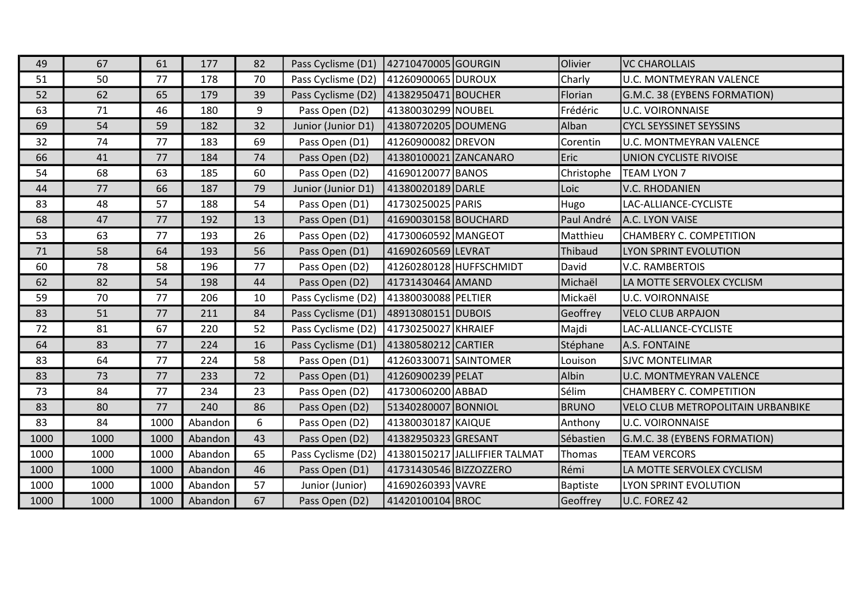| 49   | 67   | 61   | 177     | 82 | Pass Cyclisme (D1) | 42710470005 GOURGIN    |                               | Olivier      | <b>VC CHAROLLAIS</b>              |
|------|------|------|---------|----|--------------------|------------------------|-------------------------------|--------------|-----------------------------------|
| 51   | 50   | 77   | 178     | 70 | Pass Cyclisme (D2) | 41260900065 DUROUX     |                               | Charly       | <b>U.C. MONTMEYRAN VALENCE</b>    |
| 52   | 62   | 65   | 179     | 39 | Pass Cyclisme (D2) | 41382950471 BOUCHER    |                               | Florian      | G.M.C. 38 (EYBENS FORMATION)      |
| 63   | 71   | 46   | 180     | 9  | Pass Open (D2)     | 41380030299 NOUBEL     |                               | Frédéric     | <b>U.C. VOIRONNAISE</b>           |
| 69   | 54   | 59   | 182     | 32 | Junior (Junior D1) | 41380720205 DOUMENG    |                               | Alban        | <b>CYCL SEYSSINET SEYSSINS</b>    |
| 32   | 74   | 77   | 183     | 69 | Pass Open (D1)     | 41260900082 DREVON     |                               | Corentin     | <b>U.C. MONTMEYRAN VALENCE</b>    |
| 66   | 41   | 77   | 184     | 74 | Pass Open (D2)     | 41380100021 ZANCANARO  |                               | Eric         | <b>UNION CYCLISTE RIVOISE</b>     |
| 54   | 68   | 63   | 185     | 60 | Pass Open (D2)     | 41690120077 BANOS      |                               | Christophe   | <b>TEAM LYON 7</b>                |
| 44   | 77   | 66   | 187     | 79 | Junior (Junior D1) | 41380020189 DARLE      |                               | Loic         | V.C. RHODANIEN                    |
| 83   | 48   | 57   | 188     | 54 | Pass Open (D1)     | 41730250025 PARIS      |                               | Hugo         | LAC-ALLIANCE-CYCLISTE             |
| 68   | 47   | 77   | 192     | 13 | Pass Open (D1)     | 41690030158 BOUCHARD   |                               | Paul André   | A.C. LYON VAISE                   |
| 53   | 63   | 77   | 193     | 26 | Pass Open (D2)     | 41730060592 MANGEOT    |                               | Matthieu     | CHAMBERY C. COMPETITION           |
| 71   | 58   | 64   | 193     | 56 | Pass Open (D1)     | 41690260569 LEVRAT     |                               | Thibaud      | LYON SPRINT EVOLUTION             |
| 60   | 78   | 58   | 196     | 77 | Pass Open (D2)     |                        | 41260280128 HUFFSCHMIDT       | David        | <b>V.C. RAMBERTOIS</b>            |
| 62   | 82   | 54   | 198     | 44 | Pass Open (D2)     | 41731430464 AMAND      |                               | Michaël      | LA MOTTE SERVOLEX CYCLISM         |
| 59   | 70   | 77   | 206     | 10 | Pass Cyclisme (D2) | 41380030088 PELTIER    |                               | Mickaël      | <b>U.C. VOIRONNAISE</b>           |
| 83   | 51   | 77   | 211     | 84 | Pass Cyclisme (D1) | 48913080151 DUBOIS     |                               | Geoffrey     | <b>VELO CLUB ARPAJON</b>          |
| 72   | 81   | 67   | 220     | 52 | Pass Cyclisme (D2) | 41730250027 KHRAIEF    |                               | Majdi        | LAC-ALLIANCE-CYCLISTE             |
| 64   | 83   | 77   | 224     | 16 | Pass Cyclisme (D1) | 41380580212 CARTIER    |                               | Stéphane     | A.S. FONTAINE                     |
| 83   | 64   | 77   | 224     | 58 | Pass Open (D1)     | 41260330071 SAINTOMER  |                               | Louison      | <b>SJVC MONTELIMAR</b>            |
| 83   | 73   | 77   | 233     | 72 | Pass Open (D1)     | 41260900239 PELAT      |                               | Albin        | <b>U.C. MONTMEYRAN VALENCE</b>    |
| 73   | 84   | 77   | 234     | 23 | Pass Open (D2)     | 41730060200 ABBAD      |                               | Sélim        | <b>CHAMBERY C. COMPETITION</b>    |
| 83   | 80   | 77   | 240     | 86 | Pass Open (D2)     | 51340280007 BONNIOL    |                               | <b>BRUNO</b> | VELO CLUB METROPOLITAIN URBANBIKE |
| 83   | 84   | 1000 | Abandon | 6  | Pass Open (D2)     | 41380030187 KAIQUE     |                               | Anthony      | <b>U.C. VOIRONNAISE</b>           |
| 1000 | 1000 | 1000 | Abandon | 43 | Pass Open (D2)     | 41382950323 GRESANT    |                               | Sébastien    | G.M.C. 38 (EYBENS FORMATION)      |
| 1000 | 1000 | 1000 | Abandon | 65 | Pass Cyclisme (D2) |                        | 41380150217 JALLIFFIER TALMAT | Thomas       | <b>TEAM VERCORS</b>               |
| 1000 | 1000 | 1000 | Abandon | 46 | Pass Open (D1)     | 41731430546 BIZZOZZERO |                               | Rémi         | LA MOTTE SERVOLEX CYCLISM         |
| 1000 | 1000 | 1000 | Abandon | 57 | Junior (Junior)    | 41690260393 VAVRE      |                               | Baptiste     | LYON SPRINT EVOLUTION             |
| 1000 | 1000 | 1000 | Abandon | 67 | Pass Open (D2)     | 41420100104 BROC       |                               | Geoffrey     | U.C. FOREZ 42                     |